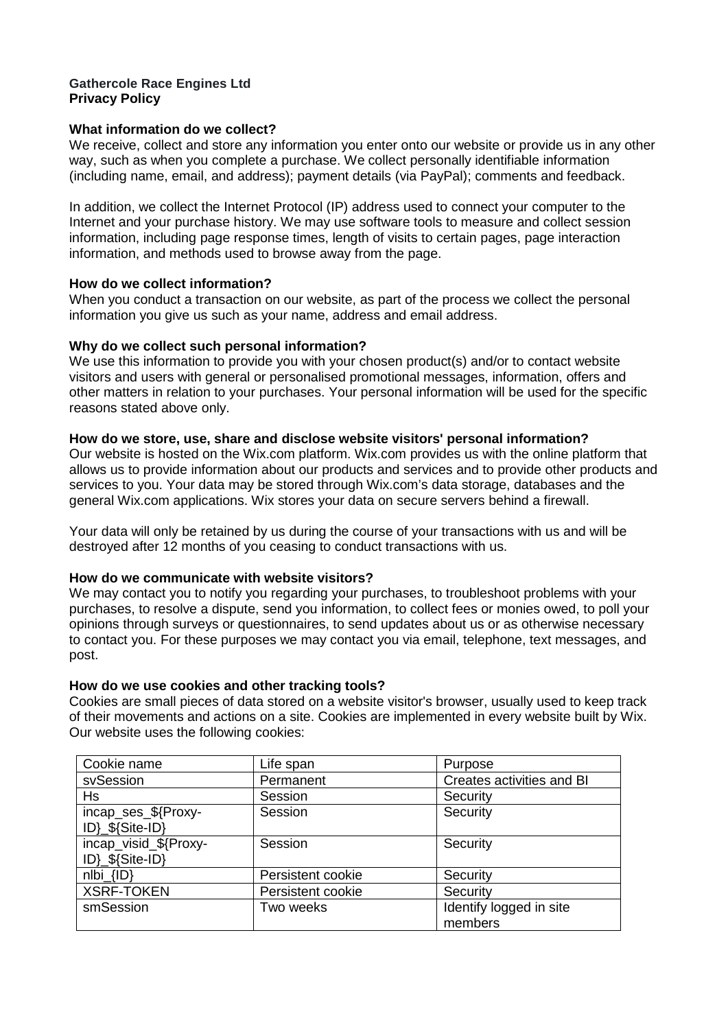### **Gathercole Race Engines Ltd Privacy Policy**

## **What information do we collect?**

We receive, collect and store any information you enter onto our website or provide us in any other way, such as when you complete a purchase. We collect personally identifiable information (including name, email, and address); payment details (via PayPal); comments and feedback.

In addition, we collect the Internet Protocol (IP) address used to connect your computer to the Internet and your purchase history. We may use software tools to measure and collect session information, including page response times, length of visits to certain pages, page interaction information, and methods used to browse away from the page.

## **How do we collect information?**

When you conduct a transaction on our website, as part of the process we collect the personal information you give us such as your name, address and email address.

# **Why do we collect such personal information?**

We use this information to provide you with your chosen product(s) and/or to contact website visitors and users with general or personalised promotional messages, information, offers and other matters in relation to your purchases. Your personal information will be used for the specific reasons stated above only.

# **How do we store, use, share and disclose website visitors' personal information?**

Our website is hosted on the Wix.com platform. Wix.com provides us with the online platform that allows us to provide information about our products and services and to provide other products and services to you. Your data may be stored through Wix.com's data storage, databases and the general Wix.com applications. Wix stores your data on secure servers behind a firewall.

Your data will only be retained by us during the course of your transactions with us and will be destroyed after 12 months of you ceasing to conduct transactions with us.

## **How do we communicate with website visitors?**

We may contact you to notify you regarding your purchases, to troubleshoot problems with your purchases, to resolve a dispute, send you information, to collect fees or monies owed, to poll your opinions through surveys or questionnaires, to send updates about us or as otherwise necessary to contact you. For these purposes we may contact you via email, telephone, text messages, and post.

## **How do we use cookies and other tracking tools?**

Cookies are small pieces of data stored on a website visitor's browser, usually used to keep track of their movements and actions on a site. Cookies are implemented in every website built by Wix. Our website uses the following cookies:

| Cookie name                              | Life span         | Purpose                            |
|------------------------------------------|-------------------|------------------------------------|
| svSession                                | Permanent         | Creates activities and BI          |
| Hs                                       | Session           | Security                           |
| incap_ses_\${Proxy-<br>ID}_\${Site-ID}   | Session           | Security                           |
| incap_visid_\${Proxy-<br>ID}_\${Site-ID} | Session           | Security                           |
| $nI\{D\}$                                | Persistent cookie | Security                           |
| <b>XSRF-TOKEN</b>                        | Persistent cookie | Security                           |
| smSession                                | Two weeks         | Identify logged in site<br>members |